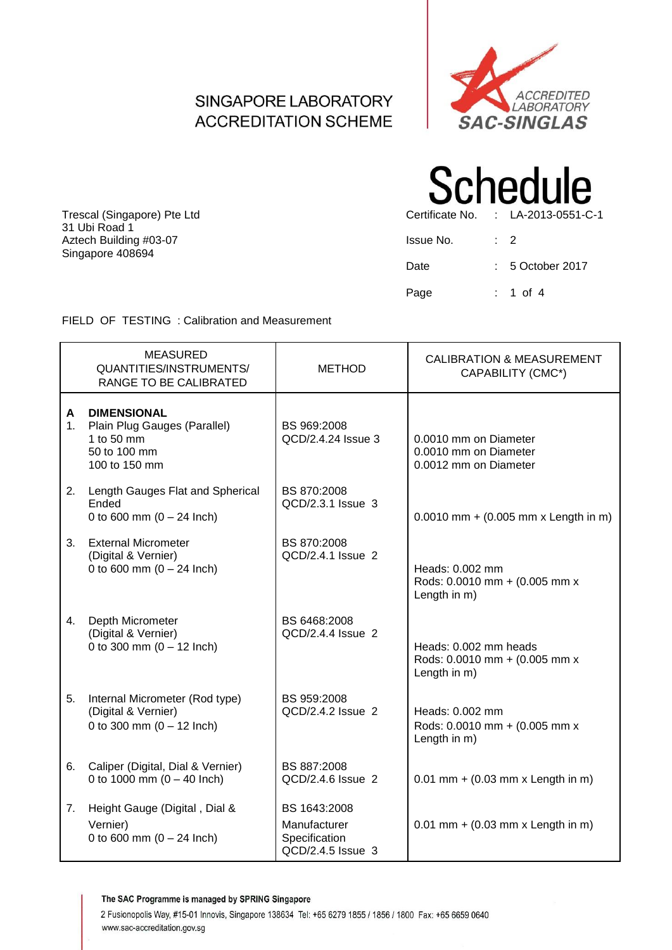#### SINGAPORE LABORATORY **ACCREDITATION SCHEME**



Trescal (Singapore) Pte Ltd Certificate No. : LA-2013-0551-C-1 31 Ubi Road 1 Aztech Building #03-07 Singapore 408694

# **Schedule**

| Issue No. | $\cdot$ 2           |
|-----------|---------------------|
| Date      | $: 5$ October 2017  |
| Page      | $: 1 \text{ of } 4$ |

FIELD OF TESTING : Calibration and Measurement

|                     | <b>MEASURED</b><br>QUANTITIES/INSTRUMENTS/<br>RANGE TO BE CALIBRATED                              | <b>METHOD</b>                                                      | <b>CALIBRATION &amp; MEASUREMENT</b><br>CAPABILITY (CMC*)               |
|---------------------|---------------------------------------------------------------------------------------------------|--------------------------------------------------------------------|-------------------------------------------------------------------------|
| A<br>1 <sub>1</sub> | <b>DIMENSIONAL</b><br>Plain Plug Gauges (Parallel)<br>1 to 50 mm<br>50 to 100 mm<br>100 to 150 mm | BS 969:2008<br>QCD/2.4.24 Issue 3                                  | 0.0010 mm on Diameter<br>0.0010 mm on Diameter<br>0.0012 mm on Diameter |
| 2.                  | Length Gauges Flat and Spherical<br>Ended<br>0 to 600 mm $(0 - 24$ lnch)                          | BS 870:2008<br>QCD/2.3.1 Issue 3                                   | $0.0010$ mm + (0.005 mm x Length in m)                                  |
| 3.                  | <b>External Micrometer</b><br>(Digital & Vernier)<br>0 to 600 mm $(0 - 24$ lnch)                  | BS 870:2008<br>QCD/2.4.1 Issue 2                                   | Heads: 0.002 mm<br>Rods: 0.0010 mm + (0.005 mm x<br>Length in m)        |
| 4.                  | Depth Micrometer<br>(Digital & Vernier)<br>0 to 300 mm $(0 - 12$ lnch)                            | BS 6468:2008<br>QCD/2.4.4 Issue 2                                  | Heads: 0.002 mm heads<br>Rods: 0.0010 mm + (0.005 mm x<br>Length in m)  |
| 5.                  | Internal Micrometer (Rod type)<br>(Digital & Vernier)<br>0 to 300 mm $(0 - 12$ lnch)              | BS 959:2008<br>QCD/2.4.2 Issue 2                                   | Heads: 0.002 mm<br>Rods: 0.0010 mm + (0.005 mm x<br>Length in m)        |
| 6.                  | Caliper (Digital, Dial & Vernier)<br>0 to 1000 mm $(0 - 40$ lnch)                                 | BS 887:2008<br>QCD/2.4.6 Issue 2                                   | $0.01$ mm + $(0.03$ mm x Length in m)                                   |
| 7.                  | Height Gauge (Digital, Dial &<br>Vernier)<br>0 to 600 mm $(0 - 24$ lnch)                          | BS 1643:2008<br>Manufacturer<br>Specification<br>QCD/2.4.5 Issue 3 | $0.01$ mm + $(0.03$ mm x Length in m)                                   |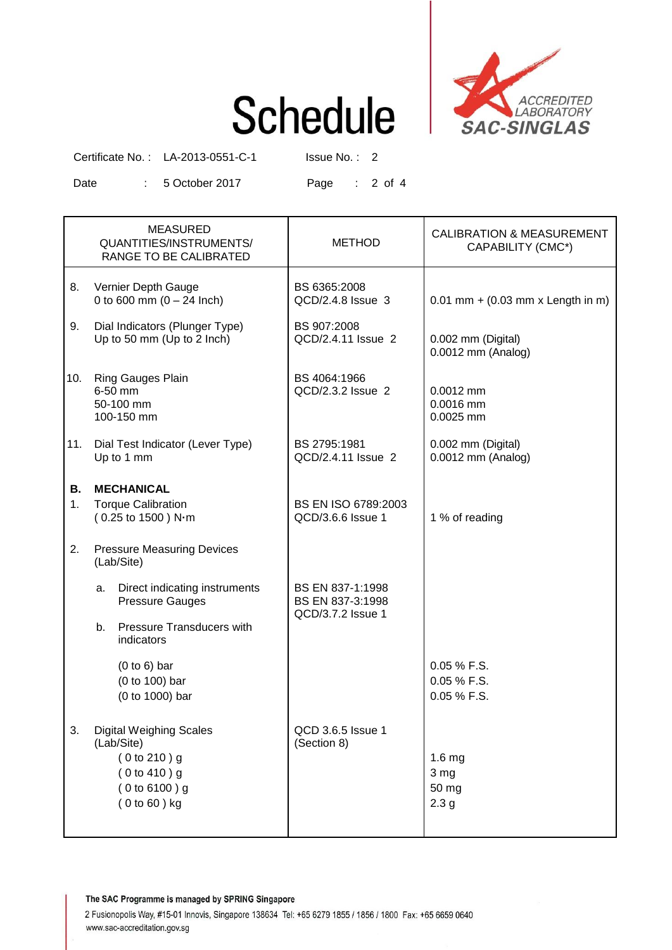# **Schedule**



Certificate No.: LA-2013-0551-C-1 Issue No.: 2

Date : 5 October 2017 Page : 2 of 4

|          | <b>MEASURED</b><br>QUANTITIES/INSTRUMENTS/<br>RANGE TO BE CALIBRATED                                            | <b>METHOD</b>                                             | <b>CALIBRATION &amp; MEASUREMENT</b><br>CAPABILITY (CMC*) |  |  |
|----------|-----------------------------------------------------------------------------------------------------------------|-----------------------------------------------------------|-----------------------------------------------------------|--|--|
| 8.       | Vernier Depth Gauge<br>0 to 600 mm $(0 - 24$ lnch)                                                              | BS 6365:2008<br>QCD/2.4.8 Issue 3                         | $0.01$ mm + (0.03 mm x Length in m)                       |  |  |
| 9.       | Dial Indicators (Plunger Type)<br>Up to 50 mm (Up to 2 lnch)                                                    | BS 907:2008<br>QCD/2.4.11 Issue 2                         | 0.002 mm (Digital)<br>$0.0012$ mm (Analog)                |  |  |
| 10.      | Ring Gauges Plain<br>6-50 mm<br>50-100 mm<br>100-150 mm                                                         | BS 4064:1966<br>QCD/2.3.2 Issue 2                         | $0.0012$ mm<br>0.0016 mm<br>0.0025 mm                     |  |  |
| 11.      | Dial Test Indicator (Lever Type)<br>Up to 1 mm                                                                  | BS 2795:1981<br>QCD/2.4.11 Issue 2                        | 0.002 mm (Digital)<br>$0.0012$ mm (Analog)                |  |  |
| В.<br>1. | <b>MECHANICAL</b><br><b>Torque Calibration</b><br>(0.25 to 1500) N-m                                            | BS EN ISO 6789:2003<br>QCD/3.6.6 Issue 1                  | 1 % of reading                                            |  |  |
| 2.       | <b>Pressure Measuring Devices</b><br>(Lab/Site)                                                                 |                                                           |                                                           |  |  |
|          | Direct indicating instruments<br>а.<br><b>Pressure Gauges</b>                                                   | BS EN 837-1:1998<br>BS EN 837-3:1998<br>QCD/3.7.2 Issue 1 |                                                           |  |  |
|          | <b>Pressure Transducers with</b><br>b.<br>indicators                                                            |                                                           |                                                           |  |  |
|          | $(0 to 6)$ bar<br>(0 to 100) bar<br>(0 to 1000) bar                                                             |                                                           | 0.05 % F.S.<br>0.05 % F.S.<br>0.05 % F.S.                 |  |  |
| 3.       | <b>Digital Weighing Scales</b><br>(Lab/Site)<br>(0 to 210) g<br>(0 to 410) g<br>(0 to 6100) g<br>$(0 to 60)$ kg | QCD 3.6.5 Issue 1<br>(Section 8)                          | 1.6 <sub>mg</sub><br>3 mg<br>50 mg<br>2.3 <sub>g</sub>    |  |  |

The SAC Programme is managed by SPRING Singapore

2 Fusionopolis Way, #15-01 Innovis, Singapore 138634 Tel: +65 6279 1855 / 1856 / 1800 Fax: +65 6659 0640 www.sac-accreditation.gov.sg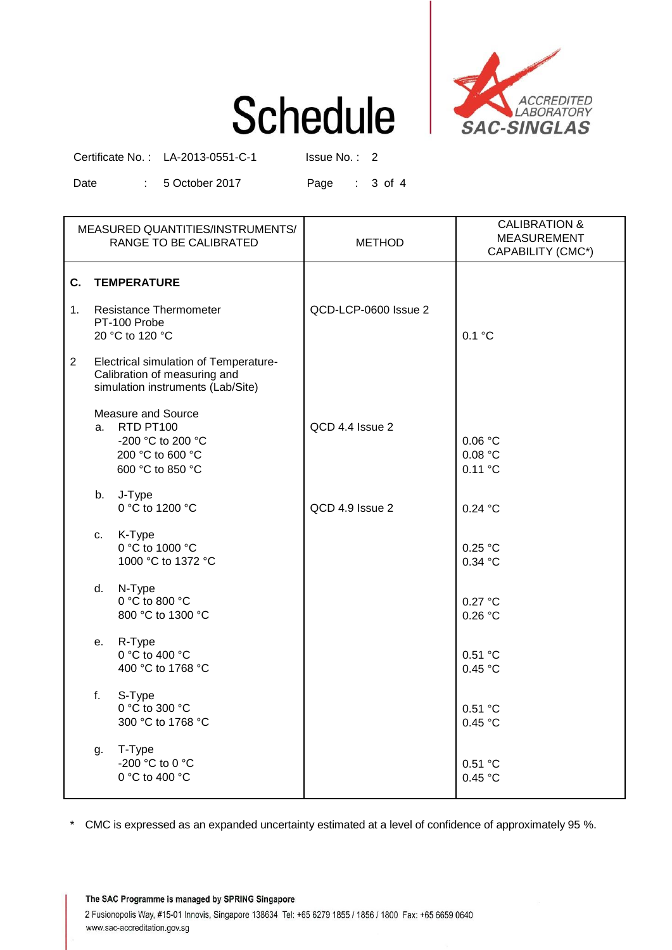## **Schedule**



Certificate No.: LA-2013-0551-C-1 Issue No.: 2

Date : 5 October 2017 Page : 3 of 4

| MEASURED QUANTITIES/INSTRUMENTS/<br>RANGE TO BE CALIBRATED |                                                                                                            |                                                                                                 | <b>METHOD</b>        | <b>CALIBRATION &amp;</b><br><b>MEASUREMENT</b><br>CAPABILITY (CMC*) |
|------------------------------------------------------------|------------------------------------------------------------------------------------------------------------|-------------------------------------------------------------------------------------------------|----------------------|---------------------------------------------------------------------|
|                                                            | C. TEMPERATURE                                                                                             |                                                                                                 |                      |                                                                     |
| 1 <sup>1</sup>                                             | <b>Resistance Thermometer</b><br>PT-100 Probe<br>20 °C to 120 °C                                           |                                                                                                 | QCD-LCP-0600 Issue 2 | 0.1 °C                                                              |
| $\mathbf{2}^{\circ}$                                       | Electrical simulation of Temperature-<br>Calibration of measuring and<br>simulation instruments (Lab/Site) |                                                                                                 |                      |                                                                     |
|                                                            |                                                                                                            | Measure and Source<br>a. RTD PT100<br>-200 °C to 200 °C<br>200 °C to 600 °C<br>600 °C to 850 °C | QCD 4.4 Issue 2      | 0.06 °C<br>0.08 °C<br>0.11 °C                                       |
|                                                            | b.                                                                                                         | J-Type<br>0 °C to 1200 °C                                                                       | QCD 4.9 Issue 2      | 0.24 °C                                                             |
|                                                            | C.                                                                                                         | K-Type<br>0 °C to 1000 °C<br>1000 °C to 1372 °C                                                 |                      | 0.25 °C<br>0.34 °C                                                  |
|                                                            | d.                                                                                                         | N-Type<br>0 °C to 800 °C<br>800 °C to 1300 °C                                                   |                      | 0.27 °C<br>0.26 °C                                                  |
|                                                            | е.                                                                                                         | R-Type<br>0 °C to 400 °C<br>400 °C to 1768 °C                                                   |                      | 0.51 °C<br>0.45 °C                                                  |
|                                                            | f.                                                                                                         | S-Type<br>0 °C to 300 °C<br>300 °C to 1768 °C                                                   |                      | 0.51 °C<br>0.45 °C                                                  |
|                                                            | g.                                                                                                         | T-Type<br>-200 °C to 0 °C<br>0 °C to 400 °C                                                     |                      | 0.51 °C<br>0.45 °C                                                  |

\* CMC is expressed as an expanded uncertainty estimated at a level of confidence of approximately 95 %.